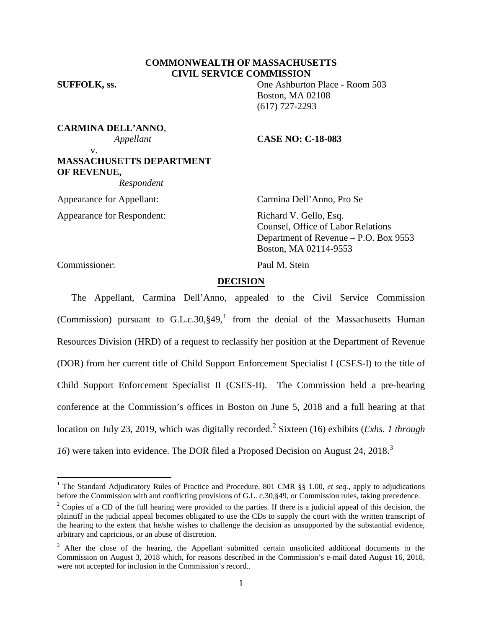# **COMMONWEALTH OF MASSACHUSETTS CIVIL SERVICE COMMISSION**

v.

**SUFFOLK, ss.** One Ashburton Place - Room 503 Boston, MA 02108 (617) 727-2293

**CARMINA DELL'ANNO**,

### *Appellant* **CASE NO: C-18-083**

**MASSACHUSETTS DEPARTMENT OF REVENUE,**

 *Respondent*

Appearance for Respondent: Richard V. Gello, Esq.

Appearance for Appellant: Carmina Dell'Anno, Pro Se

Counsel, Office of Labor Relations Department of Revenue – P.O. Box 9553 Boston, MA 02114-9553

Commissioner: Paul M. Stein

#### **DECISION**

The Appellant, Carmina Dell'Anno, appealed to the Civil Service Commission (Commission) pursuant to  $G.L.c.30$ , §49,<sup>[1](#page-0-0)</sup> from the denial of the Massachusetts Human Resources Division (HRD) of a request to reclassify her position at the Department of Revenue (DOR) from her current title of Child Support Enforcement Specialist I (CSES-I) to the title of Child Support Enforcement Specialist II (CSES-II). The Commission held a pre-hearing conference at the Commission's offices in Boston on June 5, 2018 and a full hearing at that location on July 23, 2019, which was digitally recorded. [2](#page-0-1) Sixteen (16) exhibits (*Exhs. 1 through*  16) were taken into evidence. The DOR filed a Proposed Decision on August 24, 2018.<sup>[3](#page-0-2)</sup>

<span id="page-0-0"></span><sup>&</sup>lt;sup>1</sup> The Standard Adjudicatory Rules of Practice and Procedure, 801 CMR §§ 1.00, *et seq.*, apply to adjudications before the Commission with and conflicting provisions of G.L. c.30, §49, or Commission rules, taking preced

<span id="page-0-1"></span> $\degree$  Copies of a CD of the full hearing were provided to the parties. If there is a judicial appeal of this decision, the plaintiff in the judicial appeal becomes obligated to use the CDs to supply the court with the written transcript of the hearing to the extent that he/she wishes to challenge the decision as unsupported by the substantial evidence, arbitrary and capricious, or an abuse of discretion.

<span id="page-0-2"></span> $3$  After the close of the hearing, the Appellant submitted certain unsolicited additional documents to the Commission on August 3, 2018 which, for reasons described in the Commission's e-mail dated August 16, 2018, were not accepted for inclusion in the Commission's record..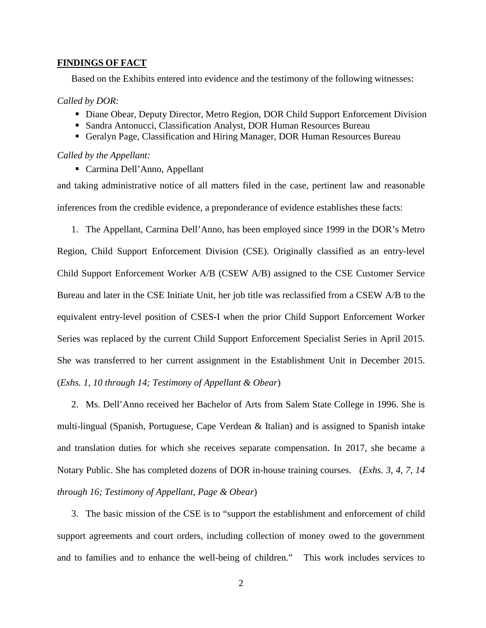### **FINDINGS OF FACT**

Based on the Exhibits entered into evidence and the testimony of the following witnesses:

### *Called by DOR:*

- Diane Obear, Deputy Director, Metro Region, DOR Child Support Enforcement Division
- Sandra Antonucci, Classification Analyst, DOR Human Resources Bureau
- Geralyn Page, Classification and Hiring Manager, DOR Human Resources Bureau

#### *Called by the Appellant:*

Carmina Dell'Anno, Appellant

and taking administrative notice of all matters filed in the case, pertinent law and reasonable inferences from the credible evidence, a preponderance of evidence establishes these facts:

1. The Appellant, Carmina Dell'Anno, has been employed since 1999 in the DOR's Metro

Region, Child Support Enforcement Division (CSE). Originally classified as an entry-level Child Support Enforcement Worker A/B (CSEW A/B) assigned to the CSE Customer Service Bureau and later in the CSE Initiate Unit, her job title was reclassified from a CSEW A/B to the equivalent entry-level position of CSES-I when the prior Child Support Enforcement Worker Series was replaced by the current Child Support Enforcement Specialist Series in April 2015. She was transferred to her current assignment in the Establishment Unit in December 2015. (*Exhs. 1, 10 through 14; Testimony of Appellant & Obear*)

2. Ms. Dell'Anno received her Bachelor of Arts from Salem State College in 1996. She is multi-lingual (Spanish, Portuguese, Cape Verdean & Italian) and is assigned to Spanish intake and translation duties for which she receives separate compensation. In 2017, she became a Notary Public. She has completed dozens of DOR in-house training courses. (*Exhs. 3, 4, 7, 14 through 16; Testimony of Appellant, Page & Obear*)

3. The basic mission of the CSE is to "support the establishment and enforcement of child support agreements and court orders, including collection of money owed to the government and to families and to enhance the well-being of children." This work includes services to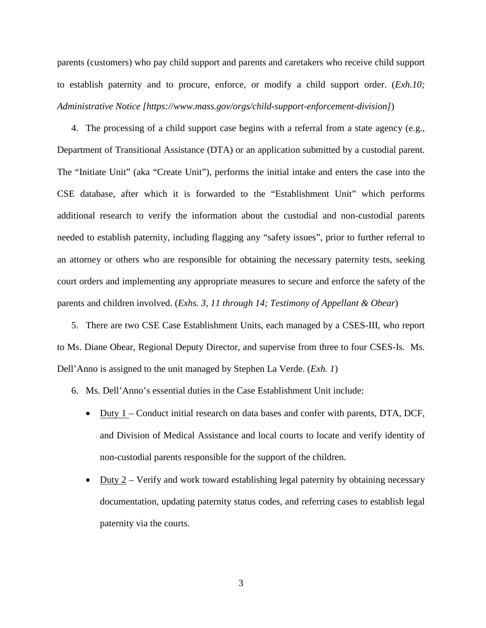parents (customers) who pay child support and parents and caretakers who receive child support to establish paternity and to procure, enforce, or modify a child support order. (*Exh.10; Administrative Notice [https://www.mass.gov/orgs/child-support-enforcement-division]*)

4. The processing of a child support case begins with a referral from a state agency (e.g., Department of Transitional Assistance (DTA) or an application submitted by a custodial parent. The "Initiate Unit" (aka "Create Unit"), performs the initial intake and enters the case into the CSE database, after which it is forwarded to the "Establishment Unit" which performs additional research to verify the information about the custodial and non-custodial parents needed to establish paternity, including flagging any "safety issues", prior to further referral to an attorney or others who are responsible for obtaining the necessary paternity tests, seeking court orders and implementing any appropriate measures to secure and enforce the safety of the parents and children involved. (*Exhs. 3, 11 through 14; Testimony of Appellant & Obear*)

5. There are two CSE Case Establishment Units, each managed by a CSES-III, who report to Ms. Diane Obear, Regional Deputy Director, and supervise from three to four CSES-Is. Ms. Dell'Anno is assigned to the unit managed by Stephen La Verde. (*Exh. 1*)

6. Ms. Dell'Anno's essential duties in the Case Establishment Unit include:

- Duty 1 Conduct initial research on data bases and confer with parents, DTA, DCF, and Division of Medical Assistance and local courts to locate and verify identity of non-custodial parents responsible for the support of the children.
- Duty  $2$  Verify and work toward establishing legal paternity by obtaining necessary documentation, updating paternity status codes, and referring cases to establish legal paternity via the courts.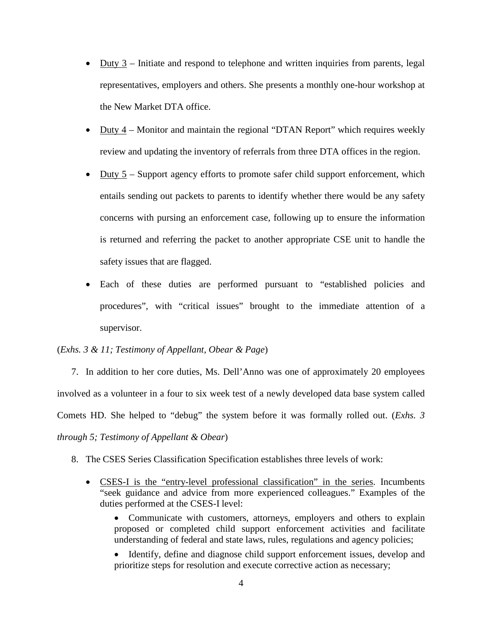- Duty  $3$  Initiate and respond to telephone and written inquiries from parents, legal representatives, employers and others. She presents a monthly one-hour workshop at the New Market DTA office.
- Duty 4 Monitor and maintain the regional "DTAN Report" which requires weekly review and updating the inventory of referrals from three DTA offices in the region.
- Duty  $5$  Support agency efforts to promote safer child support enforcement, which entails sending out packets to parents to identify whether there would be any safety concerns with pursing an enforcement case, following up to ensure the information is returned and referring the packet to another appropriate CSE unit to handle the safety issues that are flagged.
- Each of these duties are performed pursuant to "established policies and procedures", with "critical issues" brought to the immediate attention of a supervisor.

# (*Exhs. 3 & 11; Testimony of Appellant, Obear & Page*)

7. In addition to her core duties, Ms. Dell'Anno was one of approximately 20 employees involved as a volunteer in a four to six week test of a newly developed data base system called Comets HD. She helped to "debug" the system before it was formally rolled out. (*Exhs. 3 through 5; Testimony of Appellant & Obear*)

- 8. The CSES Series Classification Specification establishes three levels of work:
	- CSES-I is the "entry-level professional classification" in the series. Incumbents "seek guidance and advice from more experienced colleagues." Examples of the duties performed at the CSES-I level:
		- Communicate with customers, attorneys, employers and others to explain proposed or completed child support enforcement activities and facilitate understanding of federal and state laws, rules, regulations and agency policies;
		- Identify, define and diagnose child support enforcement issues, develop and prioritize steps for resolution and execute corrective action as necessary;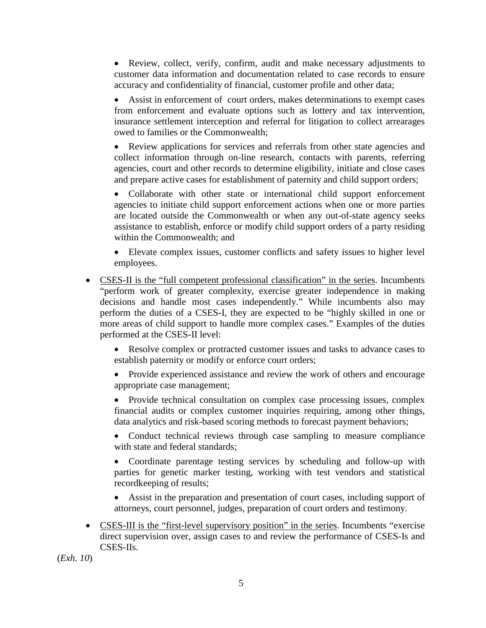• Review, collect, verify, confirm, audit and make necessary adjustments to customer data information and documentation related to case records to ensure accuracy and confidentiality of financial, customer profile and other data;

• Assist in enforcement of court orders, makes determinations to exempt cases from enforcement and evaluate options such as lottery and tax intervention, insurance settlement interception and referral for litigation to collect arrearages owed to families or the Commonwealth;

• Review applications for services and referrals from other state agencies and collect information through on-line research, contacts with parents, referring agencies, court and other records to determine eligibility, initiate and close cases and prepare active cases for establishment of paternity and child support orders;

• Collaborate with other state or international child support enforcement agencies to initiate child support enforcement actions when one or more parties are located outside the Commonwealth or when any out-of-state agency seeks assistance to establish, enforce or modify child support orders of a party residing within the Commonwealth; and

• Elevate complex issues, customer conflicts and safety issues to higher level employees.

• CSES-II is the "full competent professional classification" in the series. Incumbents "perform work of greater complexity, exercise greater independence in making decisions and handle most cases independently." While incumbents also may perform the duties of a CSES-I, they are expected to be "highly skilled in one or more areas of child support to handle more complex cases." Examples of the duties performed at the CSES-II level:

• Resolve complex or protracted customer issues and tasks to advance cases to establish paternity or modify or enforce court orders;

• Provide experienced assistance and review the work of others and encourage appropriate case management;

• Provide technical consultation on complex case processing issues, complex financial audits or complex customer inquiries requiring, among other things, data analytics and risk-based scoring methods to forecast payment behaviors;

• Conduct technical reviews through case sampling to measure compliance with state and federal standards;

• Coordinate parentage testing services by scheduling and follow-up with parties for genetic marker testing, working with test vendors and statistical recordkeeping of results;

• Assist in the preparation and presentation of court cases, including support of attorneys, court personnel, judges, preparation of court orders and testimony.

• CSES-III is the "first-level supervisory position" in the series. Incumbents "exercise" direct supervision over, assign cases to and review the performance of CSES-Is and CSES-IIs.

(*Exh. 10*)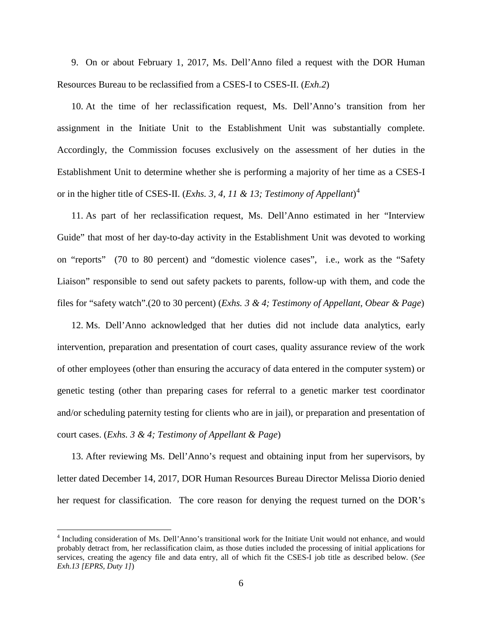9. On or about February 1, 2017, Ms. Dell'Anno filed a request with the DOR Human Resources Bureau to be reclassified from a CSES-I to CSES-II. (*Exh.2*)

10. At the time of her reclassification request, Ms. Dell'Anno's transition from her assignment in the Initiate Unit to the Establishment Unit was substantially complete. Accordingly, the Commission focuses exclusively on the assessment of her duties in the Establishment Unit to determine whether she is performing a majority of her time as a CSES-I or in the higher title of CSES-II. (*Exhs. 3, 4, 11 & 13; Testimony of Appellant*) [4](#page-5-0)

11. As part of her reclassification request, Ms. Dell'Anno estimated in her "Interview Guide" that most of her day-to-day activity in the Establishment Unit was devoted to working on "reports" (70 to 80 percent) and "domestic violence cases", i.e., work as the "Safety Liaison" responsible to send out safety packets to parents, follow-up with them, and code the files for "safety watch".(20 to 30 percent) (*Exhs. 3 & 4; Testimony of Appellant, Obear & Page*)

12. Ms. Dell'Anno acknowledged that her duties did not include data analytics, early intervention, preparation and presentation of court cases, quality assurance review of the work of other employees (other than ensuring the accuracy of data entered in the computer system) or genetic testing (other than preparing cases for referral to a genetic marker test coordinator and/or scheduling paternity testing for clients who are in jail), or preparation and presentation of court cases. (*Exhs. 3 & 4; Testimony of Appellant & Page*)

13. After reviewing Ms. Dell'Anno's request and obtaining input from her supervisors, by letter dated December 14, 2017, DOR Human Resources Bureau Director Melissa Diorio denied her request for classification. The core reason for denying the request turned on the DOR's

<span id="page-5-0"></span> <sup>4</sup> Including consideration of Ms. Dell'Anno's transitional work for the Initiate Unit would not enhance, and would probably detract from, her reclassification claim, as those duties included the processing of initial applications for services, creating the agency file and data entry, all of which fit the CSES-I job title as described below. (*See Exh.13 [EPRS, Duty 1]*)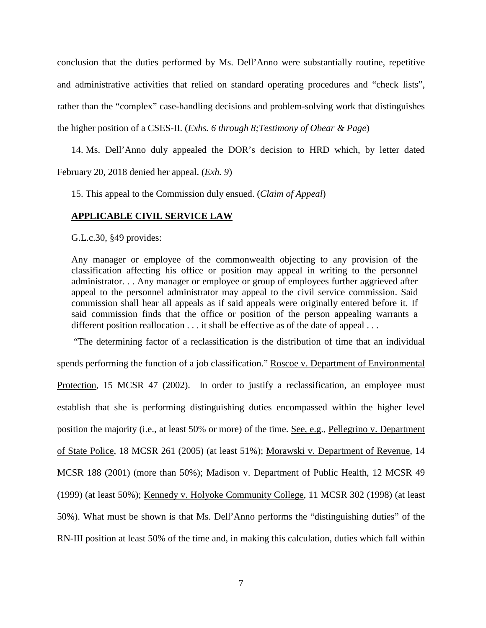conclusion that the duties performed by Ms. Dell'Anno were substantially routine, repetitive and administrative activities that relied on standard operating procedures and "check lists", rather than the "complex" case-handling decisions and problem-solving work that distinguishes the higher position of a CSES-II. (*Exhs. 6 through 8;Testimony of Obear & Page*)

14. Ms. Dell'Anno duly appealed the DOR's decision to HRD which, by letter dated February 20, 2018 denied her appeal. (*Exh. 9*)

15. This appeal to the Commission duly ensued. (*Claim of Appeal*)

# **APPLICABLE CIVIL SERVICE LAW**

G.L.c.30, §49 provides:

Any manager or employee of the commonwealth objecting to any provision of the classification affecting his office or position may appeal in writing to the personnel administrator. . . Any manager or employee or group of employees further aggrieved after appeal to the personnel administrator may appeal to the civil service commission. Said commission shall hear all appeals as if said appeals were originally entered before it. If said commission finds that the office or position of the person appealing warrants a different position reallocation . . . it shall be effective as of the date of appeal . . .

"The determining factor of a reclassification is the distribution of time that an individual spends performing the function of a job classification." Roscoe v. Department of Environmental Protection, 15 MCSR 47 (2002). In order to justify a reclassification, an employee must establish that she is performing distinguishing duties encompassed within the higher level position the majority (i.e., at least 50% or more) of the time. See, e.g., Pellegrino v. Department of State Police, 18 MCSR 261 (2005) (at least 51%); Morawski v. Department of Revenue, 14 MCSR 188 (2001) (more than 50%); Madison v. Department of Public Health, 12 MCSR 49 (1999) (at least 50%); Kennedy v. Holyoke Community College, 11 MCSR 302 (1998) (at least 50%). What must be shown is that Ms. Dell'Anno performs the "distinguishing duties" of the RN-III position at least 50% of the time and, in making this calculation, duties which fall within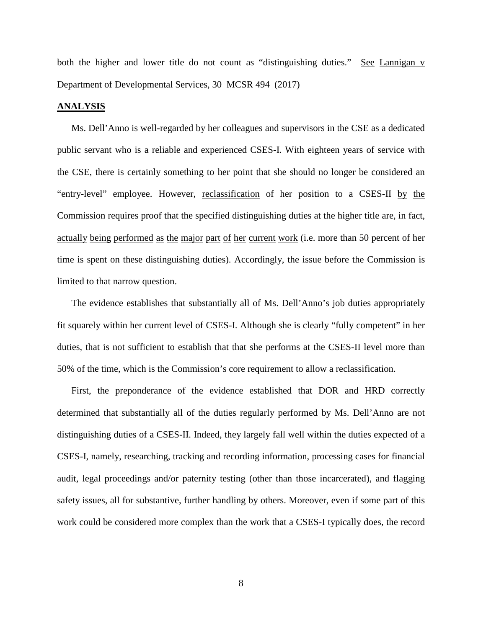both the higher and lower title do not count as "distinguishing duties." See Lannigan v Department of Developmental Services, 30 MCSR 494 (2017)

### **ANALYSIS**

Ms. Dell'Anno is well-regarded by her colleagues and supervisors in the CSE as a dedicated public servant who is a reliable and experienced CSES-I. With eighteen years of service with the CSE, there is certainly something to her point that she should no longer be considered an "entry-level" employee. However, reclassification of her position to a CSES-II by the Commission requires proof that the specified distinguishing duties at the higher title are, in fact, actually being performed as the major part of her current work (i.e. more than 50 percent of her time is spent on these distinguishing duties). Accordingly, the issue before the Commission is limited to that narrow question.

The evidence establishes that substantially all of Ms. Dell'Anno's job duties appropriately fit squarely within her current level of CSES-I. Although she is clearly "fully competent" in her duties, that is not sufficient to establish that that she performs at the CSES-II level more than 50% of the time, which is the Commission's core requirement to allow a reclassification.

First, the preponderance of the evidence established that DOR and HRD correctly determined that substantially all of the duties regularly performed by Ms. Dell'Anno are not distinguishing duties of a CSES-II. Indeed, they largely fall well within the duties expected of a CSES-I, namely, researching, tracking and recording information, processing cases for financial audit, legal proceedings and/or paternity testing (other than those incarcerated), and flagging safety issues, all for substantive, further handling by others. Moreover, even if some part of this work could be considered more complex than the work that a CSES-I typically does, the record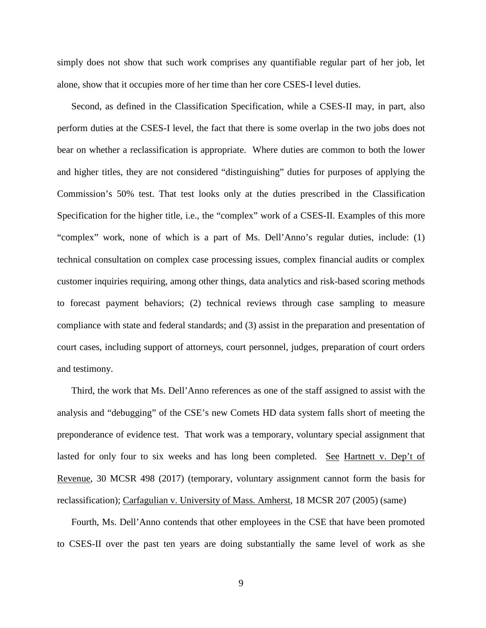simply does not show that such work comprises any quantifiable regular part of her job, let alone, show that it occupies more of her time than her core CSES-I level duties.

Second, as defined in the Classification Specification, while a CSES-II may, in part, also perform duties at the CSES-I level, the fact that there is some overlap in the two jobs does not bear on whether a reclassification is appropriate. Where duties are common to both the lower and higher titles, they are not considered "distinguishing" duties for purposes of applying the Commission's 50% test. That test looks only at the duties prescribed in the Classification Specification for the higher title, i.e., the "complex" work of a CSES-II. Examples of this more "complex" work, none of which is a part of Ms. Dell'Anno's regular duties, include: (1) technical consultation on complex case processing issues, complex financial audits or complex customer inquiries requiring, among other things, data analytics and risk-based scoring methods to forecast payment behaviors; (2) technical reviews through case sampling to measure compliance with state and federal standards; and (3) assist in the preparation and presentation of court cases, including support of attorneys, court personnel, judges, preparation of court orders and testimony.

Third, the work that Ms. Dell'Anno references as one of the staff assigned to assist with the analysis and "debugging" of the CSE's new Comets HD data system falls short of meeting the preponderance of evidence test. That work was a temporary, voluntary special assignment that lasted for only four to six weeks and has long been completed. See Hartnett v. Dep't of Revenue, 30 MCSR 498 (2017) (temporary, voluntary assignment cannot form the basis for reclassification); Carfagulian v. University of Mass. Amherst, 18 MCSR 207 (2005) (same)

Fourth, Ms. Dell'Anno contends that other employees in the CSE that have been promoted to CSES-II over the past ten years are doing substantially the same level of work as she

9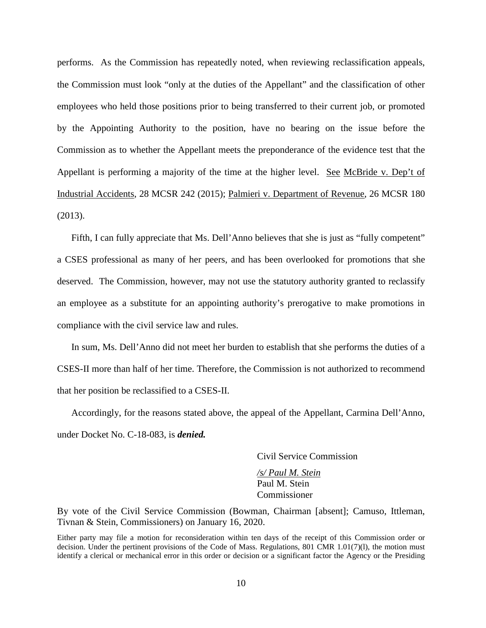performs. As the Commission has repeatedly noted, when reviewing reclassification appeals, the Commission must look "only at the duties of the Appellant" and the classification of other employees who held those positions prior to being transferred to their current job, or promoted by the Appointing Authority to the position, have no bearing on the issue before the Commission as to whether the Appellant meets the preponderance of the evidence test that the Appellant is performing a majority of the time at the higher level. See McBride v. Dep't of Industrial Accidents, 28 MCSR 242 (2015); Palmieri v. Department of Revenue, 26 MCSR 180 (2013).

Fifth, I can fully appreciate that Ms. Dell'Anno believes that she is just as "fully competent" a CSES professional as many of her peers, and has been overlooked for promotions that she deserved. The Commission, however, may not use the statutory authority granted to reclassify an employee as a substitute for an appointing authority's prerogative to make promotions in compliance with the civil service law and rules.

In sum, Ms. Dell'Anno did not meet her burden to establish that she performs the duties of a CSES-II more than half of her time. Therefore, the Commission is not authorized to recommend that her position be reclassified to a CSES-II.

Accordingly, for the reasons stated above, the appeal of the Appellant, Carmina Dell'Anno, under Docket No. C-18-083, is *denied.*

Civil Service Commission

*/s/ Paul M. Stein* Paul M. Stein Commissioner

By vote of the Civil Service Commission (Bowman, Chairman [absent]; Camuso, Ittleman, Tivnan & Stein, Commissioners) on January 16, 2020.

Either party may file a motion for reconsideration within ten days of the receipt of this Commission order or decision. Under the pertinent provisions of the Code of Mass. Regulations, 801 CMR 1.01(7)(l), the motion must identify a clerical or mechanical error in this order or decision or a significant factor the Agency or the Presiding